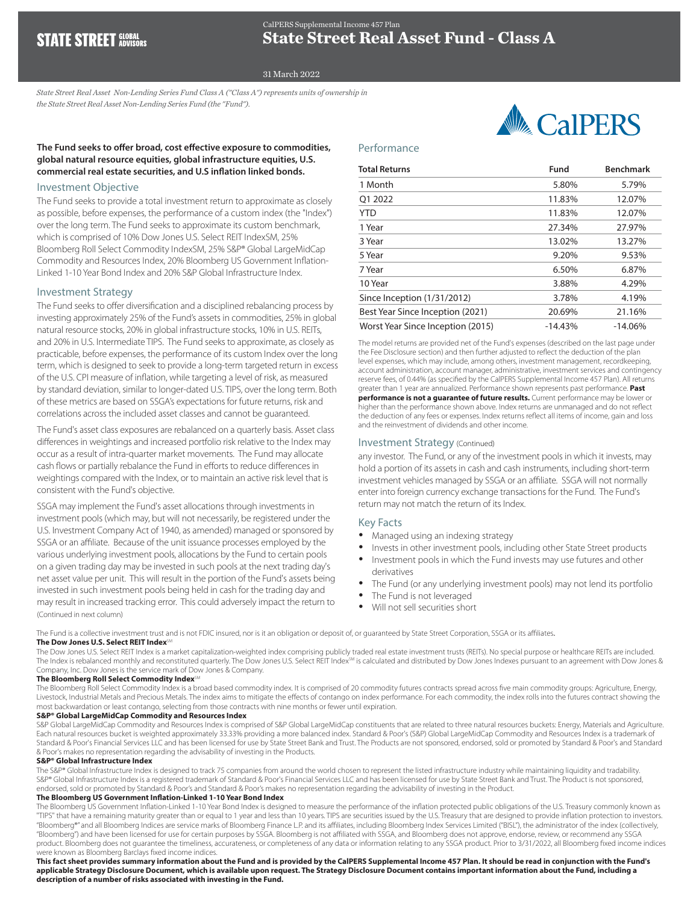# CalPERS Supplemental Income 457 Plan **State Street Real Asset Fund - Class A**

#### 31 March 2022

*State Street Real Asset Non-Lending Series Fund Class A ("Class A") represents units of ownership in the State Street Real Asset Non-Lending Series Fund (the "Fund").*

#### **The Fund seeks to offer broad, cost effective exposure to commodities, global natural resource equities, global infrastructure equities, U.S. commercial real estate securities, and U.S inflation linked bonds.**

#### Investment Objective

The Fund seeks to provide a total investment return to approximate as closely as possible, before expenses, the performance of a custom index (the "Index") over the long term. The Fund seeks to approximate its custom benchmark, which is comprised of 10% Dow Jones U.S. Select REIT IndexSM, 25% Bloomberg Roll Select Commodity IndexSM, 25% S&P® Global LargeMidCap Commodity and Resources Index, 20% Bloomberg US Government Inflation-Linked 1-10 Year Bond Index and 20% S&P Global Infrastructure Index.

#### Investment Strategy

The Fund seeks to offer diversification and a disciplined rebalancing process by investing approximately 25% of the Fund's assets in commodities, 25% in global natural resource stocks, 20% in global infrastructure stocks, 10% in U.S. REITs, and 20% in U.S. Intermediate TIPS. The Fund seeks to approximate, as closely as practicable, before expenses, the performance of its custom Index over the long term, which is designed to seek to provide a long-term targeted return in excess of the U.S. CPI measure of inflation, while targeting a level of risk, as measured by standard deviation, similar to longer-dated U.S. TIPS, over the long term. Both of these metrics are based on SSGA's expectations for future returns, risk and correlations across the included asset classes and cannot be guaranteed.

The Fund's asset class exposures are rebalanced on a quarterly basis. Asset class differences in weightings and increased portfolio risk relative to the Index may occur as a result of intra-quarter market movements. The Fund may allocate cash flows or partially rebalance the Fund in efforts to reduce differences in weightings compared with the Index, or to maintain an active risk level that is consistent with the Fund's objective.

SSGA may implement the Fund's asset allocations through investments in investment pools (which may, but will not necessarily, be registered under the U.S. Investment Company Act of 1940, as amended) managed or sponsored by SSGA or an affiliate. Because of the unit issuance processes employed by the various underlying investment pools, allocations by the Fund to certain pools on a given trading day may be invested in such pools at the next trading day's net asset value per unit. This will result in the portion of the Fund's assets being invested in such investment pools being held in cash for the trading day and may result in increased tracking error. This could adversely impact the return to (Continued in next column)

#### Performance



**A** CalPERS

The model returns are provided net of the Fund's expenses (described on the last page under the Fee Disclosure section) and then further adjusted to reflect the deduction of the plan level expenses, which may include, among others, investment management, recordkeeping, account administration, account manager, administrative, investment services and contingency reserve fees, of 0.44% (as specified by the CalPERS Supplemental Income 457 Plan). All returns greater than 1 year are annualized. Performance shown represents past performance. **Past performance is not a guarantee of future results.** Current performance may be lower or higher than the performance shown above. Index returns are unmanaged and do not reflect the deduction of any fees or expenses. Index returns reflect all items of income, gain and loss and the reinvestment of dividends and other income.

#### Investment Strategy (Continued)

any investor. The Fund, or any of the investment pools in which it invests, may hold a portion of its assets in cash and cash instruments, including short-term investment vehicles managed by SSGA or an affiliate. SSGA will not normally enter into foreign currency exchange transactions for the Fund. The Fund's return may not match the return of its Index.

#### Key Facts

- Managed using an indexing strategy
- Invests in other investment pools, including other State Street products
- Investment pools in which the Fund invests may use futures and other derivatives
- The Fund (or any underlying investment pools) may not lend its portfolio
- The Fund is not leveraged
- Will not sell securities short

The Fund is a collective investment trust and is not FDIC insured, nor is it an obligation or deposit of, or guaranteed by State Street Corporation, SSGA or its affiliates. **The Dow Jones U.S. Select REIT Index**SM

The Dow Jones U.S. Select REIT Index is a market capitalization-weighted index comprising publicly traded real estate investment trusts (REITs). No special purpose or healthcare REITs are included. The Index is rebalanced monthly and reconstituted quarterly. The Dow Jones U.S. Select REIT Index<sup>5M</sup> is calculated and distributed by Dow Jones Indexes pursuant to an agreement with Dow Jones & Company, Inc. Dow Jones is the service mark of Dow Jones & Company.

#### The Bloomberg Roll Select Commodity Index<sup>SM</sup>

The Bloomberg Roll Select Commodity Index is a broad based commodity index. It is comprised of 20 commodity futures contracts spread across five main commodity groups: Agriculture, Energy, Livestock, Industrial Metals and Precious Metals. The index aims to mitigate the effects of contango on index performance. For each commodity, the index rolls into the futures contract showing the most backwardation or least contango, selecting from those contracts with nine months or fewer until expiration.

#### **S&P® Global LargeMidCap Commodity and Resources Index**

S&P Global LargeMidCap Commodity and Resources Index is comprised of S&P Global LargeMidCap constituents that are related to three natural resources buckets: Energy, Materials and Agriculture. Each natural resources bucket is weighted approximately 33.33% providing a more balanced index. Standard & Poor's (S&P) Global LargeMidCap Commodity and Resources Index is a trademark of Standard & Poor's Financial Services LLC and has been licensed for use by State Street Bank and Trust. The Products are not sponsored, endorsed, sold or promoted by Standard & Poor's and Standard & Poor's makes no representation regarding the advisability of investing in the Products.

**S&P® Global Infrastructure Index**

The S&P® Global Infrastructure Index is designed to track 75 companies from around the world chosen to represent the listed infrastructure industry while maintaining liquidity and tradability. S&P® Global Infrastructure Index is a registered trademark of Standard & Poor's Financial Services LLC and has been licensed for use by State Street Bank and Trust. The Product is not sponsored, endorsed, sold or promoted by Standard & Poor's and Standard & Poor's makes no representation regarding the advisability of investing in the Product.

#### **The Bloomberg US Government Inflation-Linked 1-10 Year Bond Index**

The Bloomberg US Government Inflation-Linked 1-10 Year Bond Index is designed to measure the performance of the inflation protected public obligations of the U.S. Treasury commonly known as "TIPS" that have a remaining maturity greater than or equal to 1 year and less than 10 years. TIPS are securities issued by the U.S. Treasury that are designed to provide inflation protection to investors. "Bloomberg®" and all Bloomberg Indices are service marks of Bloomberg Finance L.P. and its affiliates, including Bloomberg Index Services Limited ("BISL"), the administrator of the index (collectively, "Bloomberg") and have been licensed for use for certain purposes by SSGA. Bloomberg is not affiliated with SSGA, and Bloomberg does not approve, endorse, review, or recommend any SSGA product. Bloomberg does not quarantee the timeliness, accurateness, or completeness of any data or information relating to any SSGA product. Prior to 3/31/2022, all Bloomberg fixed income indices were known as Bloomberg Barclays fixed income indices.

#### **This fact sheet provides summary information about the Fund and is provided by the CalPERS Supplemental Income 457 Plan. It should be read in conjunction with the Fund's applicable Strategy Disclosure Document, which is available upon request. The Strategy Disclosure Document contains important information about the Fund, including a description of a number of risks associated with investing in the Fund.**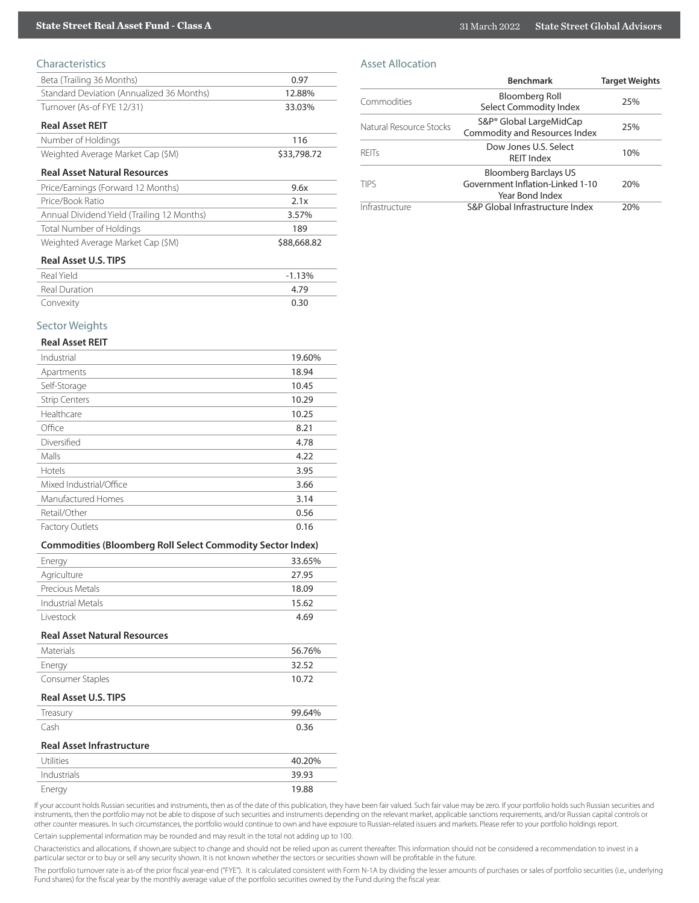| Beta (Trailing 36 Months)                  | 0.97        |
|--------------------------------------------|-------------|
| Standard Deviation (Annualized 36 Months)  | 12.88%      |
| Turnover (As-of FYE 12/31)                 | 33.03%      |
| <b>Real Asset REIT</b>                     |             |
| Number of Holdings                         | 116         |
| Weighted Average Market Cap (\$M)          | \$33,798.72 |
| <b>Real Asset Natural Resources</b>        |             |
| Price/Earnings (Forward 12 Months)         | 9.6x        |
| Price/Book Ratio                           | 2.1x        |
| Annual Dividend Yield (Trailing 12 Months) | 3.57%       |
| <b>Total Number of Holdings</b>            | 189         |
| Weighted Average Market Cap (\$M)          | \$88,668.82 |
| <b>Real Asset U.S. TIPS</b>                |             |
|                                            |             |

| Real Yield    | $-1.13%$ |
|---------------|----------|
| Real Duration | 4.79     |
| Convexity     | 0.30     |

## Sector Weights

#### **Real Asset REIT**

| Industrial              | 19.60% |
|-------------------------|--------|
| Apartments              | 18.94  |
| Self-Storage            | 10.45  |
| <b>Strip Centers</b>    | 10.29  |
| Healthcare              | 10.25  |
| Office                  | 8.21   |
| Diversified             | 4.78   |
| Malls                   | 4.22   |
| Hotels                  | 3.95   |
| Mixed Industrial/Office | 3.66   |
| Manufactured Homes      | 3.14   |
| Retail/Other            | 0.56   |
| <b>Factory Outlets</b>  | 0.16   |

### **Commodities (Bloomberg Roll Select Commodity Sector Index)**

| Energy            | 33.65% |
|-------------------|--------|
| Agriculture       | 27.95  |
| Precious Metals   | 18.09  |
| Industrial Metals | 15.62  |
| Livestock         | 4.69   |

#### **Real Asset Natural Resources**

| <b>Materials</b> | 56.76% |
|------------------|--------|
| Energy           | 32.52  |
| Consumer Staples | 10.72  |

#### **Real Asset U.S. TIPS**

| Treasury                         | 99.64% |
|----------------------------------|--------|
| Cash                             | 0.36   |
| <b>Real Asset Infrastructure</b> |        |

## Utilities 40.20% Industrials 39.93

| $-1$<br>$\checkmark$ | $  -$ |
|----------------------|-------|
|                      |       |

|                | REIT Index                       |     |  |
|----------------|----------------------------------|-----|--|
|                | <b>Bloomberg Barclays US</b>     |     |  |
| <b>TIPS</b>    | Government Inflation-Linked 1-10 | 20% |  |
|                | Year Bond Index                  |     |  |
| Infrastructure | S&P Global Infrastructure Index  | 20% |  |

**State Street Real Asset Fund - Class A** 31 March 2022 State Street Global Advisors

**Benchmark Target Weights**

## Asset Allocation

|                         | PERLILIOR                                                                                  | <b>IGIYEL WEIGHIU</b> |
|-------------------------|--------------------------------------------------------------------------------------------|-----------------------|
| Commodities             | <b>Bloomberg Roll</b><br>Select Commodity Index                                            | 25%                   |
| Natural Resource Stocks | S&P <sup>®</sup> Global LargeMidCap<br><b>Commodity and Resources Index</b>                | 25%                   |
| <b>RFIT<sub>S</sub></b> | Dow Jones U.S. Select<br><b>REIT Index</b>                                                 | 10%                   |
| <b>TIPS</b>             | <b>Bloomberg Barclays US</b><br>Government Inflation-Linked 1-10<br><b>Year Bond Index</b> | 20%                   |
| Infractructure          | S.P. Global Infractructure Index                                                           | 200 <sub>6</sub>      |

If your account holds Russian securities and instruments, then as of the date of this publication, they have been fair valued. Such fair value may be zero. If your portfolio holds such Russian securities and instruments, then the portfolio may not be able to dispose of such securities and instruments depending on the relevant market, applicable sanctions requirements, and/or Russian capital controls or other counter measures. In such circumstances, the portfolio would continue to own and have exposure to Russian-related issuers and markets. Please refer to your portfolio holdings report.

Certain supplemental information may be rounded and may result in the total not adding up to 100.

Characteristics and allocations, if shown,are subject to change and should not be relied upon as current thereafter. This information should not be considered a recommendation to invest in a particular sector or to buy or sell any security shown. It is not known whether the sectors or securities shown will be profitable in the future.

The portfolio turnover rate is as-of the prior fiscal year-end ("FYE"). It is calculated consistent with Form N-1A by dividing the lesser amounts of purchases or sales of portfolio securities (i.e., underlying Fund shares) for the fiscal year by the monthly average value of the portfolio securities owned by the Fund during the fiscal year.